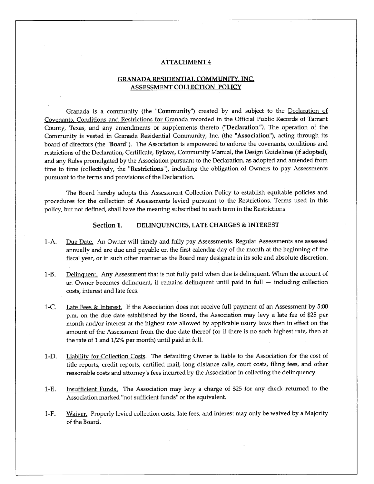#### **ATTACHMENT 4**

# **GRANADA RESIDENTIAL COMMUNITY, INC. ASSESSMENT COLLECTION POLICY**

Granada is a community (the **"Community")** created by and subject to the Declaration of Covenants, Conditions and Restrictions for Granada recorded in the Official Public Records of Tarrant County, Texas, and any amendments or supplements thereto **("Declaration").** The operation of the Community is vested in Granada Residential Community, Inc. (the **"Association"),** acting through its board of directors (the **"Board").** The Association is empowered to enforce the covenants, conditions and restrictions of the Declaration, Certificate, Bylaws, Community Manual, the Design Guidelines (if adopted), and any Rules promulgated by the Association pursuant to the Declaration, as adopted and amended from time to time (collectively, the **"Restrictions"),** including the obligation of Owners to pay Assessments pursuant to the terms and provisions of the Declaration.

The Board hereby adopts this Assessment Collection Policy to establish equitable policies and procedures for the collection of Assessments levied pursuant to the Restrictions. Terms used in this policy, but not defined, shall have the meaning subscribed to such term in the Restrictions

#### **Section 1. DELINQUENCIES, LATE CHARGES & INTEREST**

- 1-A. Due Date. An Owner will timely and fully pay Assessments. Regular Assessments are assessed annually and are due and payable on the first calendar day of the month at the beginning of the fiscal year, or in such other manner as the Board may designate in its sole and absolute discretion.
- 1-B. Delinquent. Any Assessment that is not fully paid when due is delinquent. When the account of an Owner becomes delinquent, it remains delinquent until paid in full — including collection costs, interest and late fees.
- 1-C. Late Fees & Interest. If the Association does not receive full payment of an Assessment by 5:00 p.m. on the due date established by the Board, the Association may levy a late fee of \$25 per month and/or interest at the highest rate allowed by applicable usury laws then in effect on the amount of the Assessment from the due date thereof (or if there is no such highest rate, then at the rate of 1 and 1/2% per month) until paid in full.
- 1-D. Liability for Collection Costs. The defaulting Owner is liable to the Association for the cost of title reports, credit reports, certified mail, long distance calls, court costs, filing fees, and other reasonable costs and attorney's fees incurred by the Association in collecting the delinquency.
- 1-E. Insufficient Funds. The Association may levy a charge of \$25 for any check returned to the Association marked "not sufficient funds" or the equivalent.
- 1-F. Waiver. Properly levied collection costs, late fees, and interest may only be waived by a Majority of the Board.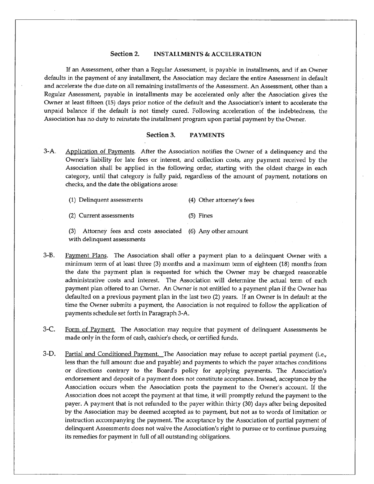# **Section 2. INSTALLMENTS & ACCELERATION**

If an Assessment, other than a Regular Assessment, is payable in installments, and if an Owner defaults in the payment of any installment, the Association may declare the entire Assessment in default and accelerate the due date on all remaining installments of the Assessment. An Assessment, other than a Regular Assessment, payable in installments may be accelerated only after the Association gives the Owner at least fifteen (15) days prior notice of the default and the Association's intent to accelerate the unpaid balance if the default is not timely cured. Following acceleration of the indebtedness, the Association has no duty to reinstate the installment program upon partial payment by the Owner.

## **Section 3. PAYMENTS**

3-A. Application of Payments. After the Association notifies the Owner of a delinquency and the Owner's liability for late fees or interest, and collection costs, any payment received by the Association shall be applied in the following order, starting with the oldest charge in each category, until that category is fully paid, regardless of the amount of payment, notations on checks, and the date the obligations arose:

(1) Delinquent assessments (4) Other attorney's fees

(2) Current assessments (5) Fines

(3) Attorney fees and costs associated (6) Any other amount with delinquent assessments

3-B. Payment Plans. The Association shall offer a payment plan to a delinquent Owner with a minimum term of at least three (3) months and a maximum term of eighteen (18) months from the date the payment plan is requested for which the Owner may be charged reasonable administrative costs and interest. The Association will determine the actual term of each payment plan offered to an Owner. An Owner is not entitled to a payment plan if the Owner has defaulted on a previous payment plan in the last two (2) years. If an Owner is in default at the time the Owner submits a payment, the Association is not required to follow the application of payments schedule set forth in Paragraph 3-A.

3-C. Form of Payment. The Association may require that payment of delinquent Assessments be made only in the form of cash, cashier's check, or certified funds.

3-D. Partial and Conditioned Payment. The Association may refuse to accept partial payment (i.e., less than the full amount due and payable) and payments to which the payer attaches conditions or directions contrary to the Board's policy for applying payments. The Association's endorsement and deposit of a payment does not constitute acceptance. Instead, acceptance by the Association occurs when the Association posts the payment to the Owner's account. If the Association does not accept the payment at that time, it will promptly refund the payment to the payer. A payment that is not refunded to the payer within thirty (30) days after being deposited by the Association may be deemed accepted as to payment, but not as to words of limitation or instruction accompanying the payment. The acceptance by the Association of partial payment of delinquent Assessments does not waive the Association's right to pursue or to continue pursuing its remedies for payment in full of all outstanding obligations.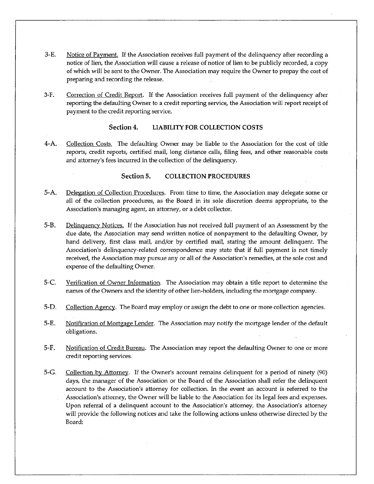- 3-E. Notice of Payment. If the Association receives full payment of the delinquency after recording a notice of lien, the Association will cause a release of notice of lien to be publicly recorded, a copy of which will be sent to the Owner. The Association may require the Owner to prepay the cost of preparing and recording the release.
- 3-F. Correction of Credit Report. If the Association receives full payment of the delinquency after reporting the defaulting Owner to a credit reporting service, the Association will report receipt of payment to the credit reporting service.

## **Section 4. LIABILITY FOR COLLECTION COSTS**

4-A. Collection Costs. The defaulting Owner may be liable to the Association for the cost of title reports, credit reports, certified mail, long distance calls, filing fees, and other reasonable costs and attorney's fees incurred in the collection of the delinquency.

#### **Section 5. COLLECTION PROCEDURES**

- 5-A. Delegation of Collection Procedures. From time to time, the Association may delegate some or all of the collection procedures, as the Board in its sole discretion deems appropriate, to the Association's managing agent, an attorney, or a debt collector.
- 5-B. Delinquency Notices. If the Association has not received full payment of an Assessment by the due date, the Association may send written notice of nonpayment to the defaulting Owner, by hand delivery, first class mail, and/or by certified mail, stating the amount delinquent. The Association's delinquency-related correspondence may state that if full payment is not timely received, the Association may pursue any or all of the Association's remedies, at the sole cost and expense of the defaulting Owner.
- 5-C. Verification of Owner Information. The Association may obtain a title report to determine the names of the Owners and the identity of other lien-holders, including the mortgage company.
- 5-D. Collection Agency. The Board may employ or assign the debt to one or more collection agencies.
- 5-E. Notification of Mortgage Lender. The Association may notify the mortgage lender of the default obligations.
- 5-F. Notification of Credit Bureau. The Association may report the defaulting Owner to one or more credit reporting services.
- 5-G. Collection by Attorney. If the Owner's account remains delinquent for a period of ninety (90) days, the manager of the Association or the Board of the Association shall refer the delinquent account to the Association's attorney for collection. In the event an account is referred to the Association's attorney, the Owner will be liable to the Association for its legal fees and expenses. Upon referral of a delinquent account to the Association's attorney, the Association's attorney will provide the following notices and take the following actions unless otherwise directed by the Board: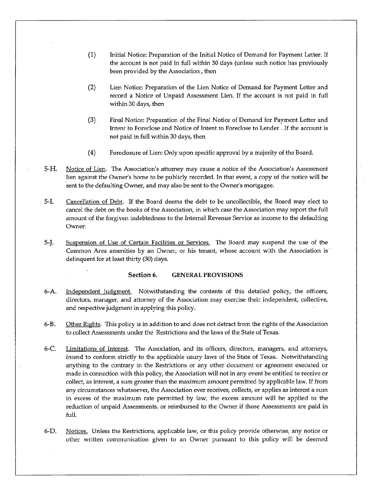- (1) Initial Notice: Preparation of the Initial Notice of Demand for Payment Letter. If the account is not paid in full within 30 days (unless such notice has previously been provided by the Association , then
- (2) Lien Notice: Preparation of the Lien Notice of Demand for Payment Letter and record a Notice of Unpaid Assessment Lien. If the account is not paid in full within 30 days, then
- (3) Final Notice: Preparation of the Final Notice of Demand for Payment Letter and Intent to Foreclose and Notice of Intent to Foreclose to Lender . If the account is not paid in full within 30 days, then
- (4) Foreclosure of Lien: Only upon specific approval by a majority of the Board.
- 5-H. Notice of Lien. The Association's attorney may cause a notice of the Association's Assessment lien against the Owner's home to be publicly recorded. In that event, a copy of the notice will be sent to the defaulting Owner, and may also be sent to the Owner's mortgagee.
- 5-I. Cancellation of Debt. If the Board deems the debt to be uncollectible, the Board may elect to cancel the debt on the books of the Association, in which case the Association may report the full amount of the forgiven indebtedness to the Internal Revenue Service as income to the defaulting Owner.
- 5-J. Suspension of Use of Certain Facilities or Services. The Board may suspend the use of the Common Area amenities by an Owner, or his tenant, whose account with the Association is delinquent for at least thirty (30) days.

#### **Section 6. GENERAL PROVISIONS**

- 6-A. Independent Judgment. Notwithstanding the contents of this detailed policy, the officers, directors, manager, and attorney of the Association may exercise their independent, collective, and respective judgment in applying this policy.
- 6-B. Other Rights. This policy is in addition to and does not detract from the rights of the Association to collect Assessments under the Restrictions and the laws of the State of Texas.
- 6-C. Limitations of Interest. The Association, and its officers, directors, managers, and attorneys, intend to conform strictly to the applicable usury laws of the State of Texas. Notwithstanding anything to the contrary in the Restrictions or any other document or agreement executed or made in connection with this policy, the Association will not in any event be entitled to receive or collect, as interest, a sum greater than the maximum amount permitted by applicable law. If from any circumstances whatsoever, the Association ever receives, collects, or applies as interest a sum in excess of the maximum rate permitted by law, the excess amount will be applied to the reduction of unpaid Assessments, or reimbursed to the Owner if those Assessments are paid in full.
- 6-D. Notices. Unless the Restrictions, applicable law, or this policy provide otherwise, any notice or other written communication given to an Owner pursuant to this policy will be deemed